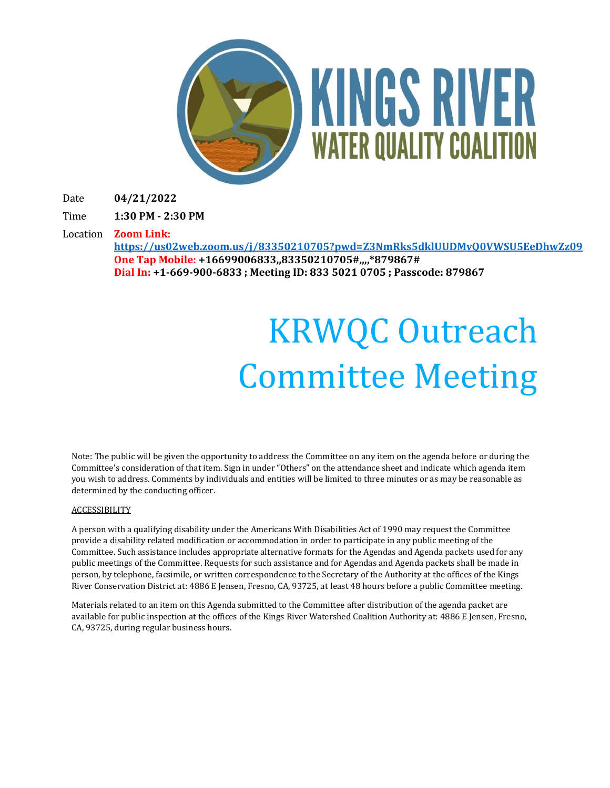

Date **04/21/2022**

Time **1:30 PM - 2:30 PM**

Location **Zoom Link: <https://us02web.zoom.us/j/83350210705?pwd=Z3NmRks5dklUUDMvQ0VWSU5EeDhwZz09> One Tap Mobile: +16699006833,,83350210705#,,,,\*879867#**

**Dial In: +1-669-900-6833 ; Meeting ID: 833 5021 0705 ; Passcode: 879867**

# KRWQC Outreach Committee Meeting

Note: The public will be given the opportunity to address the Committee on any item on the agenda before or during the Committee's consideration of that item. Sign in under "Others" on the attendance sheet and indicate which agenda item you wish to address. Comments by individuals and entities will be limited to three minutes or as may be reasonable as determined by the conducting officer.

#### **ACCESSIBILITY**

A person with a qualifying disability under the Americans With Disabilities Act of 1990 may request the Committee provide a disability related modification or accommodation in order to participate in any public meeting of the Committee. Such assistance includes appropriate alternative formats for the Agendas and Agenda packets used for any public meetings of the Committee. Requests for such assistance and for Agendas and Agenda packets shall be made in person, by telephone, facsimile, or written correspondence to the Secretary of the Authority at the offices of the Kings River Conservation District at: 4886 E Jensen, Fresno, CA, 93725, at least 48 hours before a public Committee meeting.

Materials related to an item on this Agenda submitted to the Committee after distribution of the agenda packet are available for public inspection at the offices of the Kings River Watershed Coalition Authority at: 4886 E Jensen, Fresno, CA, 93725, during regular business hours.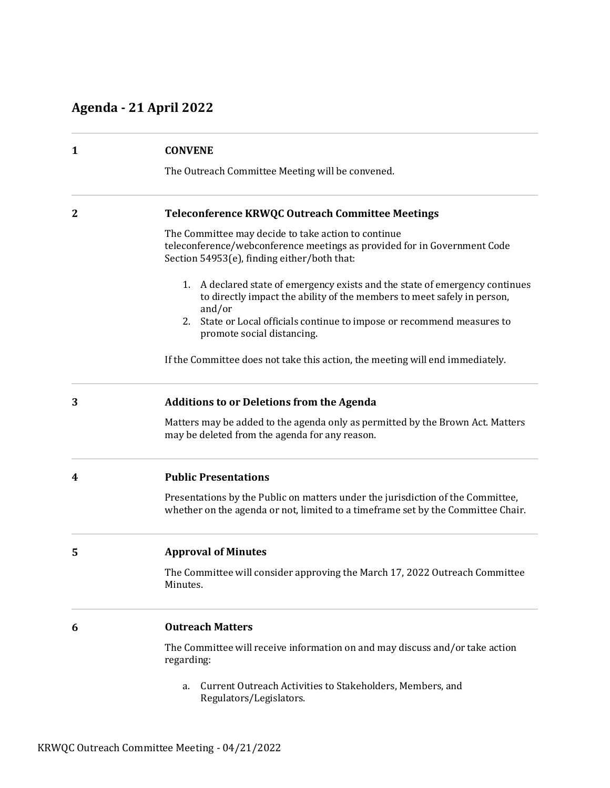## **Agenda - 21 April 2022**

| 1            | <b>CONVENE</b><br>The Outreach Committee Meeting will be convened.                                                                                                             |
|--------------|--------------------------------------------------------------------------------------------------------------------------------------------------------------------------------|
| $\mathbf{2}$ | Teleconference KRWQC Outreach Committee Meetings                                                                                                                               |
|              | The Committee may decide to take action to continue<br>teleconference/webconference meetings as provided for in Government Code<br>Section 54953(e), finding either/both that: |
|              | A declared state of emergency exists and the state of emergency continues<br>1.<br>to directly impact the ability of the members to meet safely in person,<br>and/or           |
|              | State or Local officials continue to impose or recommend measures to<br>2.<br>promote social distancing.                                                                       |
|              | If the Committee does not take this action, the meeting will end immediately.                                                                                                  |
| 3            | <b>Additions to or Deletions from the Agenda</b>                                                                                                                               |
|              | Matters may be added to the agenda only as permitted by the Brown Act. Matters<br>may be deleted from the agenda for any reason.                                               |
| 4            | <b>Public Presentations</b>                                                                                                                                                    |
|              | Presentations by the Public on matters under the jurisdiction of the Committee,<br>whether on the agenda or not, limited to a timeframe set by the Committee Chair.            |
| 5            | <b>Approval of Minutes</b>                                                                                                                                                     |
|              | The Committee will consider approving the March 17, 2022 Outreach Committee<br>Minutes.                                                                                        |
| 6            | <b>Outreach Matters</b>                                                                                                                                                        |
|              | The Committee will receive information on and may discuss and/or take action<br>regarding:                                                                                     |
|              | Current Qutreach Activities to Stakeholders, Members, and                                                                                                                      |

a. Current Outreach Activities to Stakeholders, Members, and Regulators/Legislators.